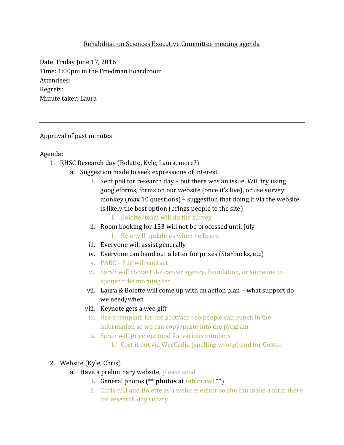## Rehabilitation Sciences Executive Committee meeting agenda

Date: Friday June 17, 2016 Time: 1:00pm in the Friedman Boardroom Attendees: Regrets: Minute taker: Laura

Approval of past minutes:

Agenda:

- 1. RHSC Research day (Bolette, Kyle, Laura, more?)
	- a. Suggestion made to seek expressions of interest
		- i. Sent poll for research day but there was an issue. Will try using googleforms, forms on our website (once it's live), or use survey monkey (max 10 questions) – suggestion that doing it via the website is likely the best option (brings people to the site)
			- 1. Bolette/team will do the survey
		- ii. Room booking for 153 will not be processed until July
			- 1. Kyle will update us when he hears
		- iii. Everyone will assist generally
		- iv. Everyone can hand out a letter for prizes (Starbucks, etc)
		- v. PABC Sue will contact
		- vi. Sarah will contact the cancer agency, foundation, or someone to sponsor the morning tea
		- vii. Laura & Bolette will come up with an action plan what support do we need/when
		- viii. Keynote gets a wee gift
			- ix. Use a template for the abstract so people can punch in the information so we can copy/paste into the program
			- x. Sarah will price out food for various numbers
				- 1. Cost it out via WesCadia (spelling wrong) and for Costco
- 2. Website (Kyle, Chris)
	- a. Have a preliminary website, please send
		- i. General photos (\*\* **photos at lab crawl** \*\*)
		- ii. Chris will add Bolette as a website editor so she can make a form there for research day survey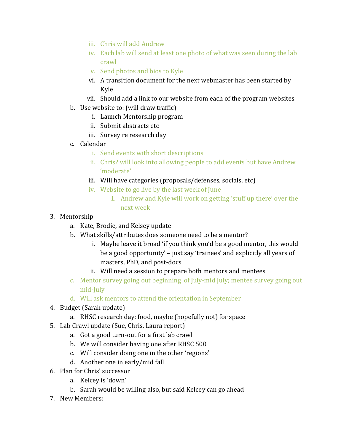- iii. Chris will add Andrew
- iv. Each lab will send at least one photo of what was seen during the lab crawl
- v. Send photos and bios to Kyle
- vi. A transition document for the next webmaster has been started by Kyle
- vii. Should add a link to our website from each of the program websites
- b. Use website to: (will draw traffic)
	- i. Launch Mentorship program
	- ii. Submit abstracts etc
	- iii. Survey re research day
- c. Calendar
	- i. Send events with short descriptions
	- ii. Chris? will look into allowing people to add events but have Andrew 'moderate'
	- iii. Will have categories (proposals/defenses, socials, etc)
	- iv. Website to go live by the last week of June
		- 1. Andrew and Kyle will work on getting 'stuff up there' over the next week
- 3. Mentorship
	- a. Kate, Brodie, and Kelsey update
	- b. What skills/attributes does someone need to be a mentor?
		- i. Maybe leave it broad 'if you think you'd be a good mentor, this would be a good opportunity' – just say 'trainees' and explicitly all years of masters, PhD, and post-docs
		- ii. Will need a session to prepare both mentors and mentees
	- c. Mentor survey going out beginning of July-mid July; mentee survey going out mid-July
	- d. Will ask mentors to attend the orientation in September
- 4. Budget (Sarah update)
	- a. RHSC research day: food, maybe (hopefully not) for space
- 5. Lab Crawl update (Sue, Chris, Laura report)
	- a. Got a good turn-out for a first lab crawl
	- b. We will consider having one after RHSC 500
	- c. Will consider doing one in the other 'regions'
	- d. Another one in early/mid fall
- 6. Plan for Chris' successor
	- a. Kelcey is 'down'
	- b. Sarah would be willing also, but said Kelcey can go ahead
- 7. New Members: